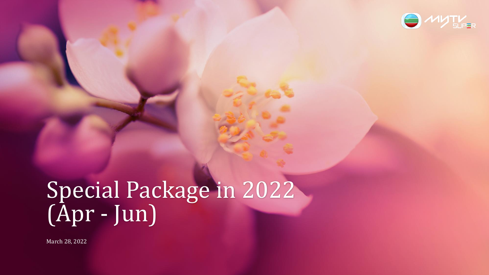

# Special Package in 2022 (Apr - Jun)

March 28, 2022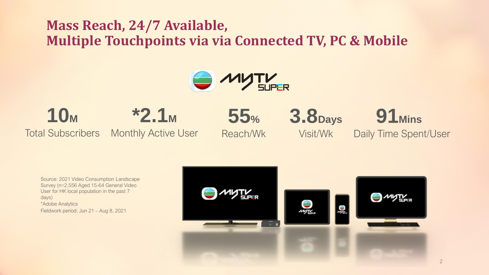## **Mass Reach, 24/7 Available, Multiple Touchpoints via via Connected TV, PC & Mobile**



**55%**

Reach/Wk

**10<sup>M</sup>** Total Subscribers **\*2.1<sup>M</sup>** Monthly Active User

Visit/Wk

**3.8Days**

**91Mins** Daily Time Spent/User

Source: 2021 Video Consumption Landscape Survey (n=2,556 Aged 15-64 General Video User for HK local population in the past 7 days) \*Adobe Analytics Fieldwork period: Jun 21 – Aug 8, 2021

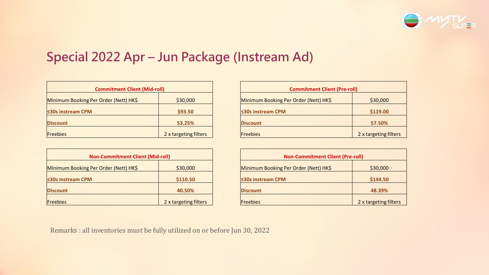

### **Special 2022 Apr – Jun Package (Instream Ad)**

| <b>Commitment Client (Mid-roll)</b>   |                       |                         | <b>Commitment Client (Pre-roll)</b>   |                       |
|---------------------------------------|-----------------------|-------------------------|---------------------------------------|-----------------------|
| Minimum Booking Per Order (Nett) HK\$ | \$30,000              |                         | Minimum Booking Per Order (Nett) HK\$ | \$30,000              |
| $\leq$ 30s instream CPM               | \$93.50               | $\leq$ 30s instream CPM |                                       | \$119.00              |
| <b>Discount</b>                       | 53.25%                | <b>Discount</b>         |                                       | 57.50%                |
| Freebies                              | 2 x targeting filters | Freebies                |                                       | 2 x targeting filters |

| <b>Non-Commitment Client (Mid-roll)</b> |                       |                 | <b>Non-Commitment Client (Pre-roll)</b> |                       |
|-----------------------------------------|-----------------------|-----------------|-----------------------------------------|-----------------------|
| Minimum Booking Per Order (Nett) HK\$   | \$30,000              |                 | Minimum Booking Per Order (Nett) HK\$   | \$30,000              |
| $\leq$ 30s instream CPM                 | \$110.50              |                 | $\leq$ 30s instream CPM                 | \$144.50              |
| <b>Discount</b>                         | 40.50%                | <b>Discount</b> |                                         | 48.39%                |
| Freebies                                | 2 x targeting filters | Freebies        |                                         | 2 x targeting filters |

| <b>Commitment Client (Pre-roll)</b>   |                       |  |
|---------------------------------------|-----------------------|--|
| Minimum Booking Per Order (Nett) HK\$ | \$30,000              |  |
| <b>30s instream CPM</b>               | \$119.00              |  |
| <b>Discount</b>                       | 57.50%                |  |
| Freebies                              | 2 x targeting filters |  |

| <b>Non-Commitment Client (Pre-roll)</b> |                       |  |  |
|-----------------------------------------|-----------------------|--|--|
| Minimum Booking Per Order (Nett) HK\$   | \$30,000              |  |  |
| ≤30s instream CPM                       | \$144.50              |  |  |
| <b>Discount</b>                         | 48.39%                |  |  |
| Freebies                                | 2 x targeting filters |  |  |

Remarks : all inventories must be fully utilized on or before Jun 30, 2022